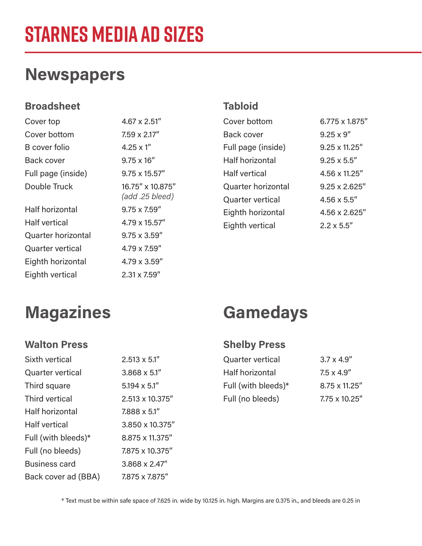# **STARNES MEDIA AD SIZES**

### **Newspapers**

#### **Broadsheet**

| Cover top               | 4.67 x 2.51"                        |
|-------------------------|-------------------------------------|
| Cover bottom            | $7.59 \times 2.17''$                |
| <b>B</b> cover folio    | $4.25 \times 1$ "                   |
| <b>Back cover</b>       | $9.75 \times 16''$                  |
| Full page (inside)      | $9.75 \times 15.57''$               |
| Double Truck            | 16.75" x 10.875"<br>(add .25 bleed) |
| <b>Half horizontal</b>  | $9.75 \times 7.59''$                |
| <b>Half vertical</b>    | $4.79 \times 15.57''$               |
| Quarter horizontal      | $9.75 \times 3.59''$                |
| <b>Quarter vertical</b> | 4.79 x 7.59"                        |
| Eighth horizontal       | $4.79 \times 3.59''$                |
| Eighth vertical         | $2.31 \times 7.59''$                |

2.513 x 5.1" 3.868 x 5.1" 5.194 x 5.1"

2.513 x 10.375"

3.850 x 10.375" 8.875 x 11.375" 7.875 x 10.375" 3.868 x 2.47" 7.875 x 7.875"

7.888 x 5.1"

#### **Tabloid**

| Cover bottom            | 6.775 x 1.875"        |
|-------------------------|-----------------------|
| Back cover              | $9.25 \times 9''$     |
| Full page (inside)      | $9.25 \times 11.25$ " |
| <b>Half horizontal</b>  | $9.25 \times 5.5''$   |
| <b>Half vertical</b>    | 4.56 x 11.25"         |
| Quarter horizontal      | $9.25 \times 2.625''$ |
| <b>Quarter vertical</b> | $4.56 \times 5.5$ "   |
| Eighth horizontal       | 4.56 x 2.625"         |
| Eighth vertical         | $2.2 \times 5.5''$    |

### **Magazines Gamedays**

Sixth vertical

Third square Third vertical Half horizontal

Half vertical

Full (with bleeds)\*

Back cover ad (BBA)

Full (no bleeds) Business card

Quarter vertical

#### **Walton Press Shelby Press**

| <b>Quarter vertical</b> | $3.7 \times 4.9''$    |
|-------------------------|-----------------------|
| Half horizontal         | $7.5 \times 4.9$ "    |
| Full (with bleeds)*     | $8.75 \times 11.25''$ |
| Full (no bleeds)        | $7.75 \times 10.25''$ |